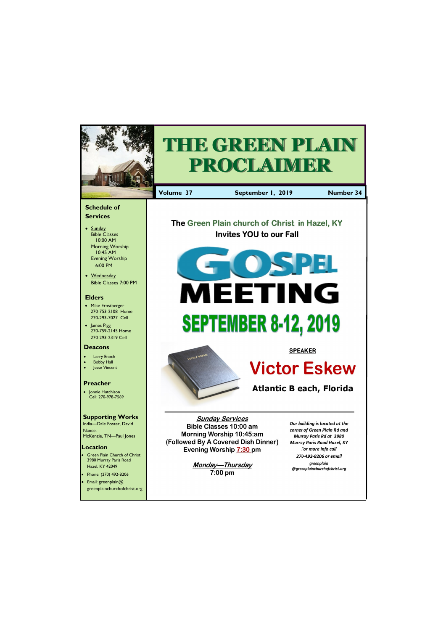Email: greenplain@ greenplainchurchofchrist.org

Hazel, KY 42049 • Phone: (270) 492-8206



Monday-Thursday

 $7:00 \text{ pm}$ 

greenplain @greenplainchurchofchrist.org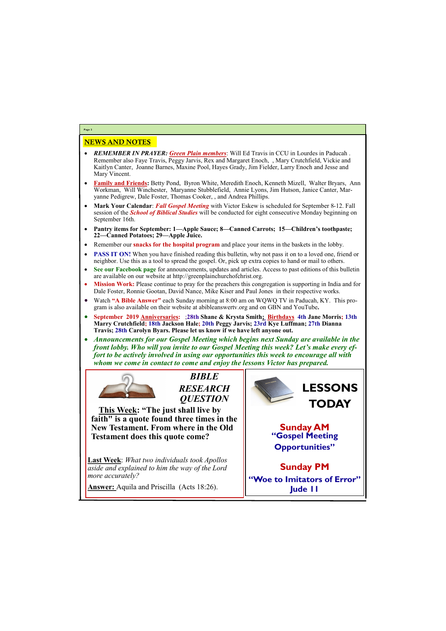## NEWS AND NOTES

- *REMEMBER IN PRAYER: Green Plain members*: Will Ed Travis in CCU in Lourdes in Paducah . Remember also Faye Travis, Peggy Jarvis, Rex and Margaret Enoch, , Mary Crutchfield, Vickie and Kaitlyn Canter, Joanne Barnes, Maxine Pool, Hayes Grady, Jim Fielder, Larry Enoch and Jesse and Mary Vincent.
- **Family and Friends:** Betty Pond, Byron White, Meredith Enoch, Kenneth Mizell, Walter Bryars, Ann Workman, Will Winchester, Maryanne Stubblefield, Annie Lyons, Jim Hutson, Janice Canter, Maryanne Pedigrew, Dale Foster, Thomas Cooker, , and Andrea Phillips.
- **Mark Your Calendar**: *Fall Gospel Meeting* with Victor Eskew is scheduled for September 8-12. Fall session of the *School of Biblical Studies* will be conducted for eight consecutive Monday beginning on September 16th.
- **Pantry items for September: 1—Apple Sauce; 8—Canned Carrots; 15—Children's toothpaste; 22—Canned Potatoes; 29—Apple Juice.**
- Remember our **snacks for the hospital program** and place your items in the baskets in the lobby.
- **PASS IT ON!** When you have finished reading this bulletin, why not pass it on to a loved one, friend or neighbor. Use this as a tool to spread the gospel. Or, pick up extra copies to hand or mail to others.
- **See our Facebook page** for announcements, updates and articles. Access to past editions of this bulletin are available on our website at http://greenplainchurchofchrist.org.
- **Mission Work:** Please continue to pray for the preachers this congregation is supporting in India and for Dale Foster, Ronnie Gootan, David Nance, Mike Kiser and Paul Jones in their respective works.
- Watch **"A Bible Answer"** each Sunday morning at 8:00 am on WQWQ TV in Paducah, KY. This program is also available on their website at abibleanswertv.org and on GBN and YouTube**.**
- **September 2019 Anniversaries:** ;**28th Shane & Krysta Smith; Birthdays 4th Jane Morris; 13th Marry Crutchfield; 18th Jackson Hale; 20th Peggy Jarvis; 23rd Kye Luffman; 27th Dianna Travis; 28th Carolyn Byars. Please let us know if we have left anyone out.**
- *Announcements for our Gospel Meeting which begins next Sunday are available in the front lobby. Who will you invite to our Gospel Meeting this week? Let's make every effort to be actively involved in using our opportunities this week to encourage all with whom we come in contact to come and enjoy the lessons Victor has prepared.*



**Page 2**



**This Week: "The just shall live by faith" is a quote found three times in the New Testament. From where in the Old Testament does this quote come?**

**Last Week**: *What two individuals took Apollos aside and explained to him the way of the Lord more accurately?*

| <i>I more accurately?</i>                         | "Woe to Imitators of Error" |
|---------------------------------------------------|-----------------------------|
| <b>Answer:</b> Aquila and Priscilla (Acts 18:26). | Jude II                     |

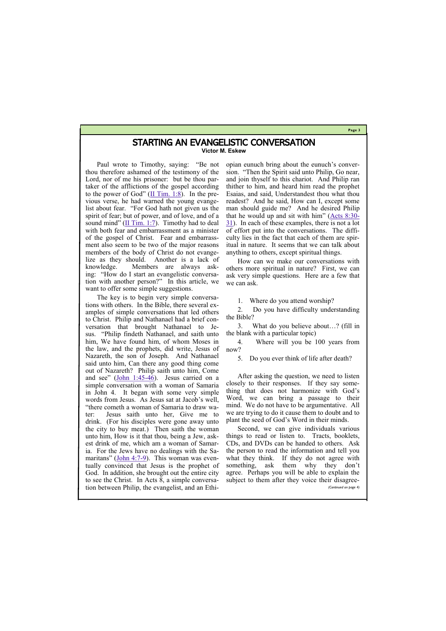**Page 3**

## STARTING AN EVANGELISTIC CONVERSATION **Victor M. Eskew**

Paul wrote to Timothy, saying: "Be not thou therefore ashamed of the testimony of the Lord, nor of me his prisoner: but be thou partaker of the afflictions of the gospel according to the power of God"  $(II$  Tim. 1:8). In the previous verse, he had warned the young evangelist about fear. "For God hath not given us the spirit of fear; but of power, and of love, and of a sound mind" ( $\overline{II}$  Tim. 1:7). Timothy had to deal with both fear and embarrassment as a minister of the gospel of Christ. Fear and embarrassment also seem to be two of the major reasons members of the body of Christ do not evangelize as they should. Another is a lack of knowledge. Members are always asking: "How do I start an evangelistic conversation with another person?" In this article, we want to offer some simple suggestions.

The key is to begin very simple conversations with others. In the Bible, there several examples of simple conversations that led others to Christ. Philip and Nathanael had a brief conversation that brought Nathanael to Jesus. "Philip findeth Nathanael, and saith unto him, We have found him, of whom Moses in the law, and the prophets, did write, Jesus of Nazareth, the son of Joseph. And Nathanael said unto him, Can there any good thing come out of Nazareth? Philip saith unto him, Come and see"  $(\underline{John} 1:45-46)$ . Jesus carried on a simple conversation with a woman of Samaria in John 4. It began with some very simple words from Jesus. As Jesus sat at Jacob's well, "there cometh a woman of Samaria to draw water: Jesus saith unto her, Give me to drink. (For his disciples were gone away unto the city to buy meat.) Then saith the woman unto him, How is it that thou, being a Jew, askest drink of me, which am a woman of Samaria. For the Jews have no dealings with the Samaritans" ( $John 4:7-9$  $John 4:7-9$  $John 4:7-9$ ). This woman was even-</u> tually convinced that Jesus is the prophet of God. In addition, she brought out the entire city

to see the Christ. In Acts 8, a simple conversa- subject to them after they voice their disagreetion between Philip, the evangelist, and an Ethi-*(Continued on page 4)*

opian eunuch bring about the eunuch's conversion. "Then the Spirit said unto Philip, Go near, and join thyself to this chariot. And Philip ran thither to him, and heard him read the prophet Esaias, and said, Understandest thou what thou readest? And he said, How can I, except some man should guide me? And he desired Philip that he would up and sit with him"  $(Acts 8:30 (Acts 8:30 (Acts 8:30 31$ ). In each of these examples, there is not a lot of effort put into the conversations. The difficulty lies in the fact that each of them are spiritual in nature. It seems that we can talk about anything to others, except spiritual things.

How can we make our conversations with others more spiritual in nature? First, we can ask very simple questions. Here are a few that we can ask.

1. Where do you attend worship?

2. Do you have difficulty understanding the Bible?

3. What do you believe about…? (fill in the blank with a particular topic)

4. Where will you be 100 years from now?

5. Do you ever think of life after death?

After asking the question, we need to listen closely to their responses. If they say something that does not harmonize with God's Word, we can bring a passage to their mind. We do not have to be argumentative. All we are trying to do it cause them to doubt and to plant the seed of God's Word in their minds.

Second, we can give individuals various things to read or listen to. Tracts, booklets, CDs, and DVDs can be handed to others. Ask the person to read the information and tell you what they think. If they do not agree with something, ask them why they don't agree. Perhaps you will be able to explain the